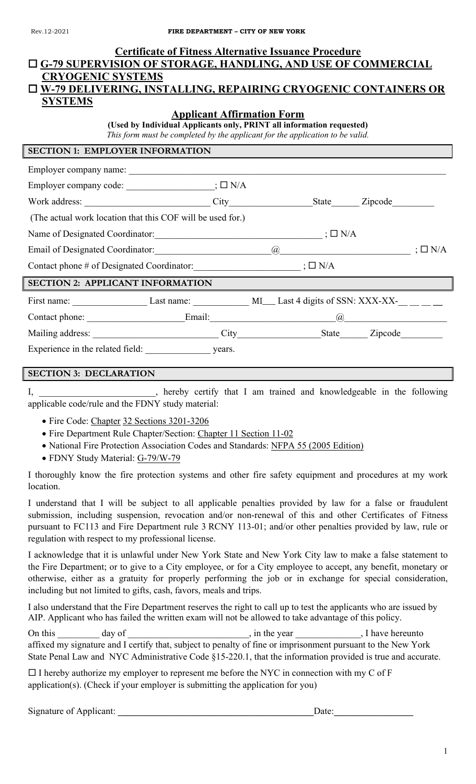| <b>Certificate of Fitness Alternative Issuance Procedure</b>                                    |  |  |  |  |  |  |  |
|-------------------------------------------------------------------------------------------------|--|--|--|--|--|--|--|
| <b>O G-79 SUPERVISION OF STORAGE, HANDLING, AND USE OF COMMERCIAL</b>                           |  |  |  |  |  |  |  |
| <b>CRYOGENIC SYSTEMS</b>                                                                        |  |  |  |  |  |  |  |
| □ W-79 DELIVERING, INSTALLING, REPAIRING CRYOGENIC CONTAINERS OR                                |  |  |  |  |  |  |  |
| <b>SYSTEMS</b>                                                                                  |  |  |  |  |  |  |  |
| <b>Applicant Affirmation Form</b>                                                               |  |  |  |  |  |  |  |
| (Used by Individual Applicants only, PRINT all information requested)                           |  |  |  |  |  |  |  |
| This form must be completed by the applicant for the application to be valid.                   |  |  |  |  |  |  |  |
| <b>SECTION 1: EMPLOYER INFORMATION</b>                                                          |  |  |  |  |  |  |  |
|                                                                                                 |  |  |  |  |  |  |  |
| Employer company code: ________________________; $\square$ N/A                                  |  |  |  |  |  |  |  |
|                                                                                                 |  |  |  |  |  |  |  |
| (The actual work location that this COF will be used for.)                                      |  |  |  |  |  |  |  |
|                                                                                                 |  |  |  |  |  |  |  |
| Email of Designated Coordinator: $\qquad \qquad \qquad @$ $\qquad \qquad \qquad @$ ; $\Box$ N/A |  |  |  |  |  |  |  |
| Contact phone # of Designated Coordinator: $\Box N/A$                                           |  |  |  |  |  |  |  |
| <b>SECTION 2: APPLICANT INFORMATION</b>                                                         |  |  |  |  |  |  |  |
|                                                                                                 |  |  |  |  |  |  |  |
|                                                                                                 |  |  |  |  |  |  |  |
|                                                                                                 |  |  |  |  |  |  |  |
| Experience in the related field: years.                                                         |  |  |  |  |  |  |  |
| <b>SECTION 3: DECLARATION</b>                                                                   |  |  |  |  |  |  |  |
|                                                                                                 |  |  |  |  |  |  |  |

I, hereby certify that I am trained and knowledgeable in the following applicable code/rule and the FDNY study material:

- Fire Code: Chapter 32 Sections 3201-3206
- Fire Department Rule Chapter/Section: Chapter 11 Section 11-02
- National Fire Protection Association Codes and Standards: NFPA 55 (2005 Edition)
- FDNY Study Material: G-79/W-79

I thoroughly know the fire protection systems and other fire safety equipment and procedures at my work location.

I understand that I will be subject to all applicable penalties provided by law for a false or fraudulent submission, including suspension, revocation and/or non-renewal of this and other Certificates of Fitness pursuant to FC113 and Fire Department rule 3 RCNY 113-01; and/or other penalties provided by law, rule or regulation with respect to my professional license.

I acknowledge that it is unlawful under New York State and New York City law to make a false statement to the Fire Department; or to give to a City employee, or for a City employee to accept, any benefit, monetary or otherwise, either as a gratuity for properly performing the job or in exchange for special consideration, including but not limited to gifts, cash, favors, meals and trips.

I also understand that the Fire Department reserves the right to call up to test the applicants who are issued by AIP. Applicant who has failed the written exam will not be allowed to take advantage of this policy.

On this \_\_\_\_\_\_\_\_ day of \_\_\_\_\_\_\_\_\_\_\_\_\_\_\_\_\_\_, in the year \_\_\_\_\_\_\_\_\_\_, I have hereunto affixed my signature and I certify that, subject to penalty of fine or imprisonment pursuant to the New York State Penal Law and NYC Administrative Code §15-220.1, that the information provided is true and accurate.

 $\Box$  I hereby authorize my employer to represent me before the NYC in connection with my C of F application(s). (Check if your employer is submitting the application for you)

Signature of Applicant: **\_\_\_\_\_\_\_\_\_\_\_\_\_\_\_\_\_\_\_\_\_\_\_\_\_\_\_\_\_\_\_\_\_\_\_\_\_\_\_\_\_\_**Date:**\_\_\_\_\_\_\_\_\_\_\_\_\_\_\_\_\_**